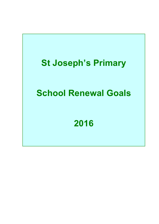## **St Joseph's Primary**

# **School Renewal Goals**

## **2016**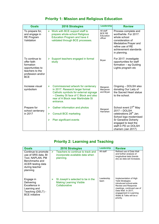### **Priority 1: Mission and Religious Education**

| <b>Goals</b>                                                                                                         | <b>2016 Strategies</b>                                                                                                                                                                                                              | Leadership                                         | <b>Review</b>                                                                                                                                                           |
|----------------------------------------------------------------------------------------------------------------------|-------------------------------------------------------------------------------------------------------------------------------------------------------------------------------------------------------------------------------------|----------------------------------------------------|-------------------------------------------------------------------------------------------------------------------------------------------------------------------------|
| To prepare for,<br>and engage in<br><b>RE Program</b><br>Validation                                                  | Work with BCE support staff to<br>➤<br>prepare whole-school Religious<br><b>Education Program and have it</b><br>validated through BCE processes.                                                                                   | All staff<br><b>BCE RE</b><br>Education<br>officer | Process complete and<br>worthwhile. For 2017:<br>whole school<br>consideration of<br>Medatative Prayer and<br>refine use of RE<br>achievement standards<br>in planning. |
| To continue to<br>offer faith<br>formation<br>opportunities to<br>teachers to the<br>profession and/or<br><b>BCE</b> | Support teachers engaged in formal<br>⋗<br>study                                                                                                                                                                                    | Bryan                                              | For 2017: investigate<br>opportunities for staff<br>formation - eg Guiding<br>Lights program etc                                                                        |
| Increase visual<br>symbolism                                                                                         | $\blacktriangleright$<br>Commissioned artwork for centenary<br>in 2017. Research larger format<br>Catholic symbols for external signage<br>- Clewley St face of C Block and also<br>rear of A Block near Martindale St<br>entrance. | Margaret,<br>Maryanne<br>and Bryan                 | Ongoing - DOLSH also<br>donating Our Lady of<br>the Sacred Heart statue<br>to the school.                                                                               |
| Prepare for<br>school centenary<br>in 2017                                                                           | Gather information and photos<br>$\blacktriangleright$<br><b>Consult BCE marketing</b><br>➤                                                                                                                                         | Margaret<br>Hanrahan                               | School event 27 <sup>th</sup> May<br>2017 - DOLSH<br>celebrations 28 <sup>th</sup> Jan.<br>School logo modernised                                                       |
|                                                                                                                      | Plan significant events<br>⋗                                                                                                                                                                                                        |                                                    | Sr Geradine Doherty<br>engaged to lead the<br>staff in PD on DOLSH<br>charism (Jan 2017)                                                                                |

### **Priority 2: Learning and Teaching**

| Goals                                                                                                                               |   | <b>2016 Strategies</b>                                                               | Leadership         | <b>Review</b>                                                                                                                                                                                                       |
|-------------------------------------------------------------------------------------------------------------------------------------|---|--------------------------------------------------------------------------------------|--------------------|---------------------------------------------------------------------------------------------------------------------------------------------------------------------------------------------------------------------|
| Continue to promote<br>use of SRS data, BI<br>Tool, NAPLAN, PM<br>Benchmarks and<br>ACER testing data<br>during teacher<br>planning | ➤ | Teachers to continue to track and<br>incorporate available data when<br>planning.    | All staff          | Refined use of Data Wall<br>and further analysis of<br>longitudinal data (trends<br>etc) as data set increases.                                                                                                     |
| Engage in<br>Delivering<br>Excellence in<br>Learning and<br>Teaching (DELT) -<br><b>BCE</b> initiative                              | ➤ | St Joseph's selected to be in the<br><b>Making Learning Visible</b><br>Collaborative | Leadership<br>team | Implementation of High<br>Yeild Strategies:<br>introduced school-wide<br>Review and Response<br>meetings, continued use of<br>Data Wall. In 2017,<br>engagement in Learning<br>Walks & Talks will be a<br>priority. |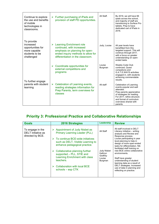| Continue to explore<br>the use and benefits<br>of mobile<br>technologies in<br>classrooms.   | $\triangleright$ Further purchasing of iPads and<br>provision of staff PD opportunities.                                                                                       | All Staff.        | By 2016, we will have 66<br>ipads across the school,<br>and majority of staff are<br>transitioning to Surface Pro<br>tablets. Prep to have<br>dedicated cart of iPads in<br>2016.                                         |
|----------------------------------------------------------------------------------------------|--------------------------------------------------------------------------------------------------------------------------------------------------------------------------------|-------------------|---------------------------------------------------------------------------------------------------------------------------------------------------------------------------------------------------------------------------|
| To provide<br>increased<br>opportunities for<br>more capable<br>students to be<br>challenged | <b>Learning Enrichment role</b><br>➤<br>continued, with increased<br>emphasis on planning for open-<br>ended inquiry methods to allow for<br>differentiation in the classroom. | Judy, Louise      | All year levels have<br>benefitted from this<br>targeted support. This will<br>continue through 2017,<br>with a focus on greater<br>understanding on open-<br>ended tasks                                                 |
| To further engage<br>parents with student<br>learning                                        | $\triangleright$ Coordinate opportunities for<br>external competitions and<br>programs                                                                                         | Louise<br>Burgman | <b>Weekly Code Club</b><br>continued, Quest<br>competions and<br>G.A.T.E.WAYS activities<br>engaged in, with students<br>achieving commendable<br>results.                                                                |
|                                                                                              | $\triangleright$ Celebration of Learning events,<br>reading strategies information for<br>Prep Parents, term overviews for<br>classes                                          | All staff         | Celebration of Learning<br>events popular and well<br>attended.<br>Prep parents appreciative<br>of strategies for reading.<br>For 2017, refine structure<br>and format of curriculum<br>overviews shared with<br>parents. |

### **Priority 3: Professional Practice and Collaborative Relationships**

| <b>Goals</b>                                               | <b>2016 Strategies</b>                                                                                                                                                                                                                         | Leadership                                 | <b>Review</b>                                                                                                                                                                                                                                                                                                                                                                                                                                                                                       |
|------------------------------------------------------------|------------------------------------------------------------------------------------------------------------------------------------------------------------------------------------------------------------------------------------------------|--------------------------------------------|-----------------------------------------------------------------------------------------------------------------------------------------------------------------------------------------------------------------------------------------------------------------------------------------------------------------------------------------------------------------------------------------------------------------------------------------------------------------------------------------------------|
| To engage in the<br>DELT initiative as<br>directed by BCE. | Appointment of Judy Nisbet as<br><b>Primary Learning Leader (PLL)</b><br>To continue BCE-wide initiatives<br>such as DELT, Visible Learning to<br>enhance pedagogical practice.<br>Collaborative planning further<br>supported - PLL, STIE and | All Staff<br><b>Judy Nisbet</b><br>Kathryn | All staff involved in DELT<br>Literacy initiative - writing<br>analysis and Review and<br>Response process.<br>Louise participating in year<br>level planning to help in<br>design of more open-ended<br>tasks for differentiation. Nik<br>facilitated staff training on<br>new BCE online collaborative<br>environments.<br>Staff have greater<br>understanding of student<br>learning data as a result of<br>DELT strategies. Increased<br>use of data in planning and<br>reflecting on practice. |
|                                                            | <b>Learning Enrichment with class</b><br>teachers.<br>Collaboration with local BCE<br>schools $-$ esp CTK                                                                                                                                      | Godfrey<br>Louise<br>Burgman               |                                                                                                                                                                                                                                                                                                                                                                                                                                                                                                     |